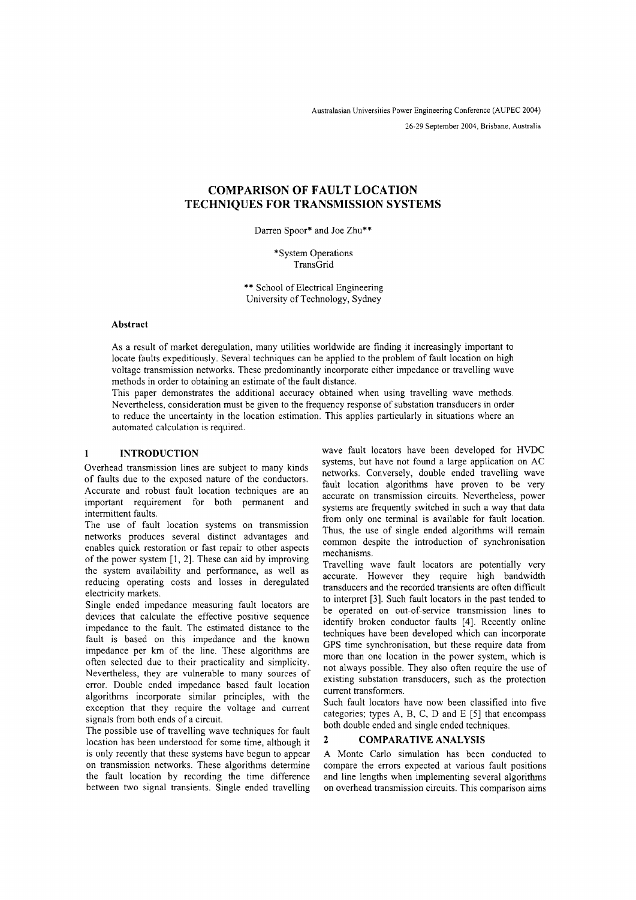Australasian Universities Power Engineering Conference (AUPEC 2004) 26-29 September 2004, Brisbane, Australia

# **COMPARISON OF FAULT LOCATION TECHNIQUES FOR TRANSMISSION SYSTEMS**

Darren Spoor\* and Joe Zhu\*\*

\*System Operations TransGrid

\*\* School of Electrical Engineering University of Technology, Sydney

#### **Abstract**

As a result of market deregulation, many utilities worldwide are finding it increasingly important to locate faults expeditiously. Several techniques can be applied to the problem of fault location on high voltage transmission networks. These predominantly incorporate either impedance or travelling wave methods in order to obtaining an estimate of the fault distance.

This paper demonstrates the additional accuracy obtained when using travelling wave methods. Nevertheless, consideration must be given to the frequency response of substation transducers in order to reduce the uncertainty in the location estimation. This applies particularly in situations where an automated calculation is required.

#### **INTRODUCTION**  $\mathbf{1}$

Overhead transmission lines are subject to many kinds of faults due to the exposed nature of the conductors. Accurate and robust fault location techniques are an important requirement for both permanent and intermittent faults.

The use of fault location systems on transmission networks produces several distinct advantages and enables quick restoration or fast repair to other aspects of the power system [1, 2]. These can aid by improving the system availability and performance, as well as reducing operating costs and losses in deregulated electricity markets.

Single ended impedance measuring fault locators are devices that calculate the effective positive sequence impedance to the fault. The estimated distance to the fault is based on this impedance and the known impedance per km of the line. These algorithms are often selected due to their practicality and simplicity. Nevertheless, they are vulnerable to many sources of error. Double ended impedance based fault location algorithms incorporate similar principles, with the exception that they require the voltage and current signals from both ends of a circuit.

The possible use of travelling wave techniques for fault location has been understood for some time, although it is only recently that these systems have begun to appear on transmission networks. These algorithms determine the fault location by recording the time difference between two signal transients. Single ended travelling wave fault locators have been developed for HVDC systems, but have not found a large application on AC networks. Conversely, double ended travelling wave fault location algorithms have proven to be very accurate on transmission circuits. Nevertheless, power systems are frequently switched in such a way that data from only one terminal is available for fault location. Thus, the use of single ended algorithms will remain common despite the introduction of synchronisation mechanisms.

Travelling wave fault locators are potentially very accurate. However they require high bandwidth transducers and the recorded transients are often difficult to interpret [3]. Such fault locators in the past tended to be operated on out-of-service transmission lines to identify broken conductor faults [4]. Recently online techniques have been developed which can incorporate GPS time synchronisation, but these require data from more than one location in the power system, which is not always possible. They also often require the use of existing substation transducers, such as the protection current transformers.

Such fault locators have now been classified into five categories; types A, B, C, D and E [5] that encompass both double ended and single ended techniques.

## **2 COMPARA TIVE ANALYSIS**

A Monte Carlo simulation has been conducted to compare the errors expected at various fault positions and line lengths when implementing several algorithms on overhead transmission circuits. This comparison aims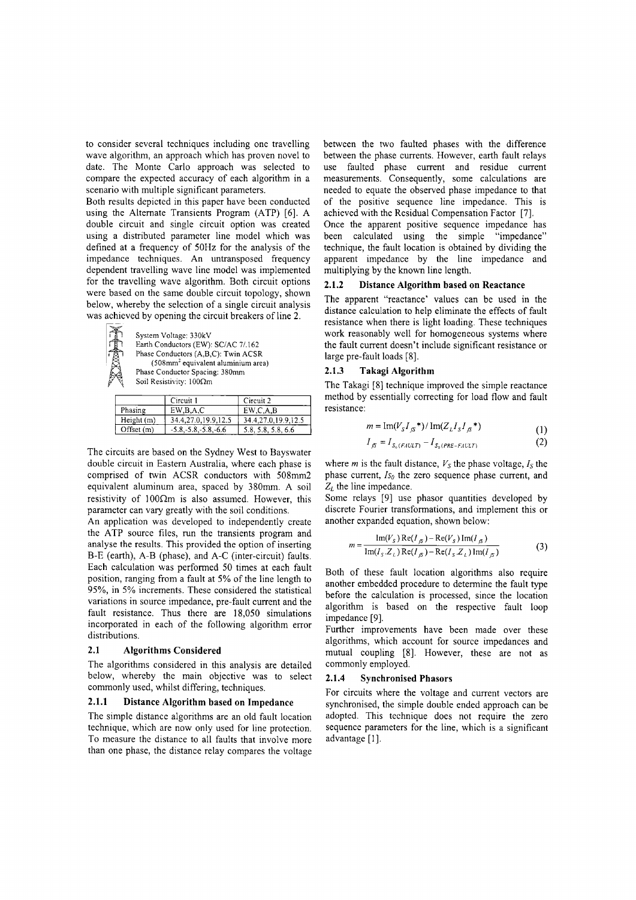to consider several techniques including one travelling wave algorithm, an approach which has proven novel to date. The Monte Carlo approach was selected to compare the expected accuracy of each algorithm in a scenario with multiple significant parameters.

Both results depicted in this paper have been conducted using the Alternate Transients Program (ATP) [6]. A double circuit and single circuit option was created using a distributed parameter line model which was defined at a frequency of 50Hz for the analysis of the impedance techniques. An untransposed frequency dependent travelling wave line model was implemented for the travelling wave algorithm. Both circuit options were based on the same double circuit topology, shown below, whereby the selection of a single circuit analysis was achieved by opening the circuit breakers of line 2.

> System Voltage: 330kV Earth Conductors (EW): SC/AC 7/.162 Phase Conductors (A,B,C): Twin ACSR (508mm' equivalent aluminium area) Phase Conductor Spacing: 380mm Soil Resistivity:  $100\Omega m$

|              | Circuit 1                | Circuit <sub>2</sub> |
|--------------|--------------------------|----------------------|
| Phasing      | EW, B, A, C              | EW, C, A, B          |
| Height (m)   | 34.4,27.0,19.9,12.5      | 34.4.27.0.19.9.12.5  |
| Offset $(m)$ | $-5.8, -5.8, -5.8, -6.6$ | 5.8, 5.8, 5.8, 6.6   |

The circuits are based on the Sydney West to Bayswater double circuit in Eastern Australia, where each phase is comprised of twin ACSR conductors with 508mm2 equivalent aluminum area, spaced by 380mm. A soil resistivity of  $100\Omega$ m is also assumed. However, this parameter can vary greatly with the soil conditions.

An application was developed to independently create the ATP source files, run the transients program and analyse the results. This provided the option of inserting B-E (earth), A-B (phase), and A-C (inter-circuit) faults. Each calculation was performed 50 times at each fault position, ranging from a fault at 5% of the line length to 95%, in 5% increments. These considered the statistical variations in source impedance, pre-fault current and the fault resistance. Thus there are 18,050 simulations incorporated in each of the following algorithm error distributions.

## **2.1 Algorithms Considered**

The algorithms considered in this analysis are detailed below, whereby the main objective was to select commonly used, whilst differing, techniques.

#### **2.1.1 Distance Algorithm based on Impedance**

The simple distance algorithms are an old fault location technique, which are now only used for line protection. To measure the distance to all faults that involve more than one phase, the distance relay compares the voltage

between the two faulted phases with the difference between the phase currents. However, earth fault relays use faulted phase current and residue current measurements. Consequently, some calculations are needed to equate the observed phase impedance to that of the positive sequence line impedance. This is achieved with the Residual Compensation Factor [7].

Once the apparent positive sequence impedance has been calculated using the simple "impedance" technique, the fault location is obtained by dividing the apparent impedance by the line impedance and multiplying by the known line length.

#### **2.1.2 Distance Algorithm based on Reactance**

The apparent "reactance' values can be used in the distance calculation to help eliminate the effects of fault resistance when there is light loading. These techniques work reasonably well for homogeneous systems where the fault current doesn't include significant resistance or large pre-fault loads [8].

## **2.1.3 Takagi Algorithm**

The Takagi [8] technique improved the simple reactance method by essentially correcting for load flow and fault resistance:

$$
m = \text{Im}(V_{S}I_{S}^{*})/\text{Im}(Z_{L}I_{S}I_{S}^{*})
$$
\n(1)

$$
I_{fS} = I_{S_0(FAULT)} - I_{S_0(PRE-FAULT)} \tag{2}
$$

where *m* is the fault distance,  $V_s$  the phase voltage,  $I_s$  the phase current, *Iso* the zero sequence phase current, and *ZL* the line impedance.

Some relays [9] use phasor quantities developed by discrete Fourier transformations, and implement this or another expanded equation, shown below:

$$
m = \frac{\operatorname{Im}(V_{S}) \operatorname{Re}(I_{\beta}) - \operatorname{Re}(V_{S}) \operatorname{Im}(I_{\beta})}{\operatorname{Im}(I_{S} \cdot Z_{L}) \operatorname{Re}(I_{\beta}) - \operatorname{Re}(I_{S} \cdot Z_{L}) \operatorname{Im}(I_{\beta})}
$$
(3)

Both of these fault location algorithms also require another embedded procedure to determine the fault type before the calculation is processed, since the location algorithm is based on the respective fault loop impedance [9].

Further improvements have been made over these algorithms, which account for source impedances and mutual coupling [8]. However, these are not as commonly employed.

#### **2.1.4 Synchronised Phasors**

For circuits where the voltage and current vectors are synchronised, the simple double ended approach can be adopted. This technique does not require the zero sequence parameters for the line, which is a significant advantage [I].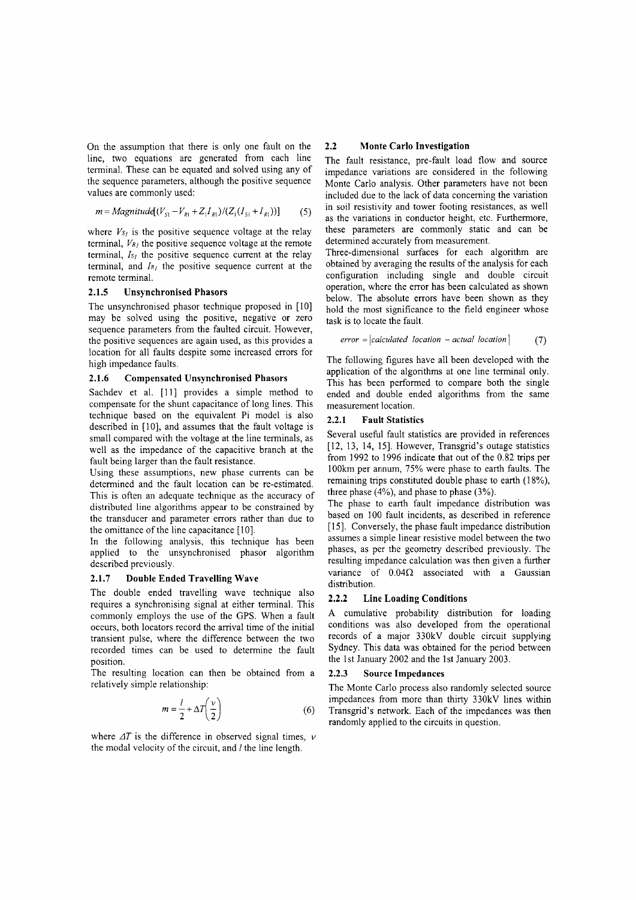On the assumption that there is only one fault on the line, two equations are generated from each line terminal. These can be equated and solved using any of the sequence parameters, although the positive sequence values are commonly used:

$$
m = Magnitud \{ (V_{S1} - V_{R1} + Z_1 I_{R1}) / (Z_1 (I_{S1} + I_{R1})) \} \tag{5}
$$

where  $V_{S_I}$  is the positive sequence voltage at the relay terminal,  $V_{R_I}$  the positive sequence voltage at the remote terminal,  $Is<sub>l</sub>$  the positive sequence current at the relay terminal, and *1RI* the positive sequence current at the remote terminal.

#### **2.1.5 Unsynchronised Phasors**

The unsynchronised phasor technique proposed in [10] may be solved using the positive, negative or zero sequence parameters from the faulted circuit. However, the positive sequences are again used, as this provides a location for all faults despite some increased errors for high impedance faults.

## **2.1.6 Compensated Unsynchronised Phasors**

Sachdev et al. [II] provides a simple method to compensate for the shunt capacitance of long lines. This technique based on the equivalent Pi model is also described in [10], and assumes that the fault voltage is small compared with the voltage at the line terminals, as well as the impedance of the capacitive branch at the fault being larger than the fault resistance.

Using these assumptions, new phase currents can be determined and the fault location can be re-estimated. This is often an adequate technique as the accuracy of distributed line algorithms appear to be constrained by the transducer and parameter errors rather than due to the omittance of the line capacitance [10].

In the following analysis, this technique has been applied to the unsynchronised phasor algorithm described previously.

#### **2.1.7 Double Ended Travelling Wave**

The double ended travelling wave technique also requires a synchronising signal at either terminal. This commonly employs the use of the GPS. When a fault occurs, both locators record the arrival time of the initial transient pulse, where the difference between the two recorded times can be used to determine the fault position.

The resulting location can then be obtained from a relatively simple relationship:

$$
m = \frac{l}{2} + \Delta T \left(\frac{v}{2}\right) \tag{6}
$$

where  $\Delta T$  is the difference in observed signal times,  $\nu$ the modal velocity of the circuit, and *I* the line length.

## **2.2 Monte Carlo Investigation**

The fault resistance, pre-fault load flow and source impedance variations are considered in the following Monte Carlo analysis. Other parameters have not been included due to the lack of data concerning the variation in soil resistivity and tower footing resistances, as well as the variations in conductor height, etc. Furthermore, these parameters are commonly static and can be determined accurately from measurement.

Three-dimensional surfaces for each algorithm are obtained by averaging the results of the analysis for each configuration including single and double circuit operation, where the error has been calculated as shown below. The absolute errors have been shown as they hold the most significance to the field engineer whose task is to locate the fault.

$$
error = |calculated\ location - actual\ location| \qquad (7)
$$

The following figures have all been developed with the application of the algorithms at one line terminal only. This has been performed to compare both the single ended and double ended algorithms from the same measurement location.

#### **2.2.1 Fault Statistics**

Several useful fault statistics are provided in references [12, 13, 14, 15]. However, Transgrid's outage statistics from 1992 to 1996 indicate that out of the 0.82 trips per 100km per annum, 75% were phase to earth faults. The remaining trips constituted double phase to earth (18%), three phase (4%), and phase to phase (3%).

The phase to earth fault impedance distribution was based on 100 fault incidents, as described in reference [15]. Conversely, the phase fault impedance distribution assumes a simple linear resistive model between the two phases, as per the geometry described previously. The resulting impedance calculation was then given a further variance of  $0.04\Omega$  associated with a Gaussian distribution.

## **2.2.2 Line Loading Conditions**

A cumulative probability distribution for loading conditions was also developed from the operational records of a major 330kV double circuit supplying Sydney. This data was obtained for the period between the 1st January 2002 and the 1st January 2003.

#### **2.2.3 Source Impedances**

The Monte Carlo process also randomly selected source impedances from more than thirty 330kV lines within Transgrid's network. Each of the impedances was then randomly applied to the circuits in question.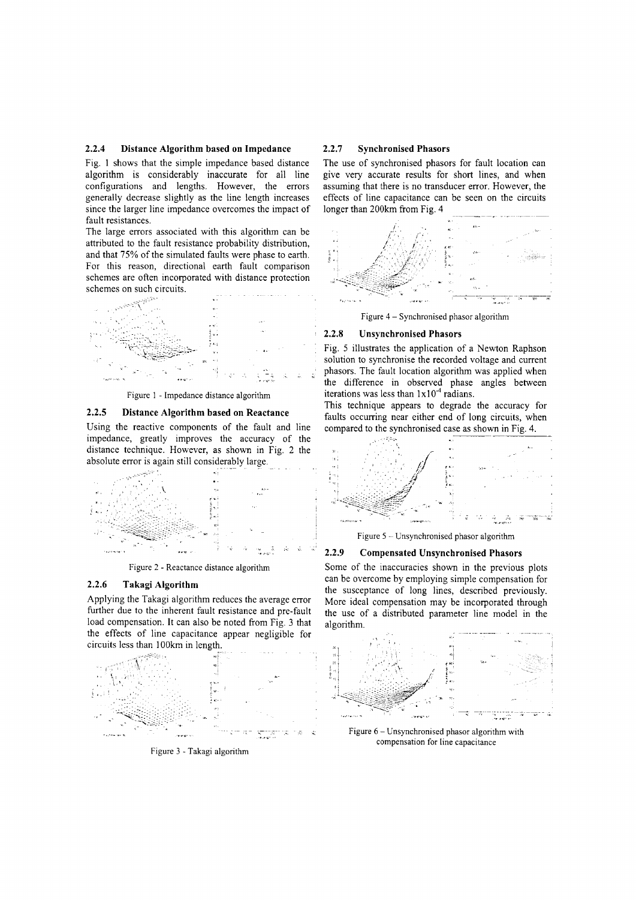## **2.2.4 Distance Algorithm based on Impedance**

Fig. 1 shows that the simple impedance based distance algorithm is considerably inaccurate for all line configurations and lengths. However, the errors generally decrease slightly as the line length increases since the larger line impedance overcomes the impact of fault resistances.

The large errors associated with this algorithm can be attributed to the fault resistance probability distribution, and that 75% of the simulated faults were phase to earth. For this reason, directional earth fault comparison schemes are often incorporated with distance protection schemes on such circuits.



Figure I - Impedance distance algorithm

## **2.2.5 Distance Algorithm based on Reactance**

Using the reactive components of the fault and line impedance, greatly improves the accuracy of the distance technique. However, as shown in Fig. 2 the absolute error is again still considerably large.



Figure 2 - Reactance distance algorithm

## **2.2.6 Takagi Algorithm**

Applying the Takagi algorithm reduces the average error further due to the inherent fault resistance and pre-fault load compensation. It can also be noted from Fig. 3 that the effects of line capacitance appear negligible for circuits less than IOOkm in length.



Figure 3 - Takagi algorithm

#### **2.2.7 Synchronised Phasors**

The use of synchronised phasors for fault location can give very accurate results for short lines, and when assuming that there is no transducer error. However, the effects of line capacitance can be seen on the circuits longer than 200km from Fig. 4



Figure 4 - Synchronised phasor algorithm

#### **2.2.8** Un synchronised **Phasors**

Fig. 5 illustrates the application of a Newton Raphson solution to synchronise the recorded voltage and current phasors. The fault location algorithm was applied when the difference in observed phase angles between iterations was less than  $1x10<sup>-4</sup>$  radians.

This technique appears to degrade the accuracy for faults occurring near either end of long circuits, when compared to the synchronised case as shown in Fig. 4.



Figure 5 - Unsynchronised phasor algorithm

## **2.2.9** Compensated Unsynchronised Phasors

Some of the inaccuracies shown in the previous plots can be overcome by employing simple compensation for the susceptance of long lines, described previously. More ideal compensation may be incorporated through the use of a distributed parameter line model in the algorithm.



Figure 6 - Unsynchronised phasor algorithm with compensation for line capacitance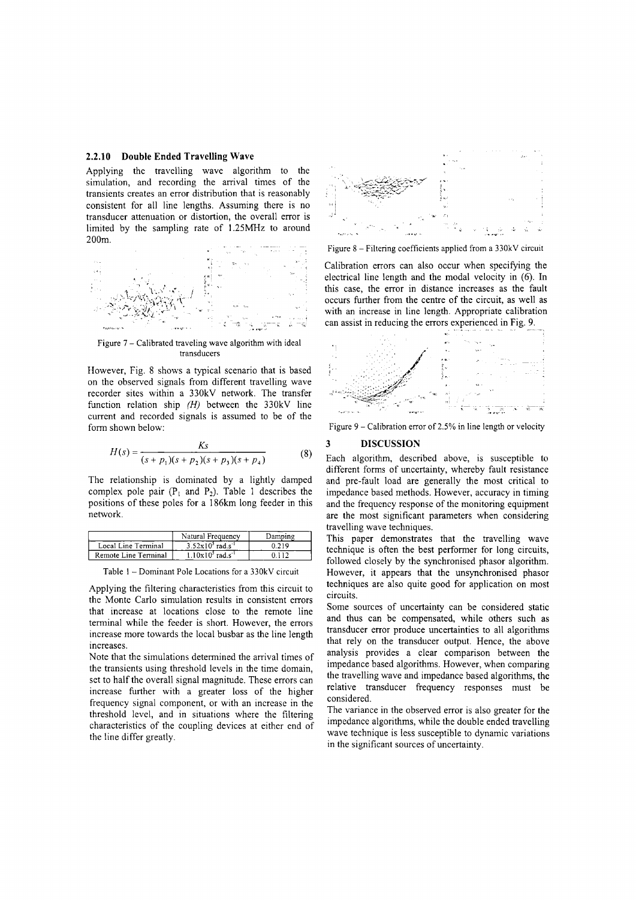## **2.2.10 Double Ended Travelling Wave**

Applying the travelling wave algorithm to the simulation, and recording the arrival times of the transients creates an error distribution that is reasonably consistent for all line lengths. Assuming there is no transducer attenuation or distortion, the overall error is limited by the sampling rate of 1.25MHz to around 200m.



Figure 7 - Calibrated traveling wave algorithm with ideal transducers

However, Fig. 8 shows a typical scenario that is based on the observed signals from different travelling wave recorder sites within a 330kV network. The transfer function relation ship *(H)* between the 330kV line current and recorded signals is assumed to be of the form shown below:

$$
H(s) = \frac{Ks}{(s+p_1)(s+p_2)(s+p_3)(s+p_4)}
$$
(8)

The relationship is dominated by a lightly damped complex pole pair  $(P_1$  and  $P_2$ ). Table 1 describes the positions of these poles for a 186km long feeder in this network.

|                      | Natural Frequency               | Damning |
|----------------------|---------------------------------|---------|
| Local Line Terminal  | $3.52x10^3$ rad.s <sup>-1</sup> | በ 219   |
| Remote Line Terminal | $1.10x105$ rad.s <sup>-1</sup>  |         |

Table I - Dominant Pole Locations for a 330kV circuit

Applying the filtering characteristics from this circuit to the Monte Carlo simulation results in consistent errors that increase at locations close to the remote line terminal while the feeder is short. However, the errors increase more towards the local busbar as the line length increases.

Note that the simulations determined the arrival times of the transients using threshold levels in the time domain, set to half the overall signal magnitude. These errors can increase further with a greater loss of the higher frequency signal component, or with an increase in the threshold level, and in situations where the filtering characteristics of the coupling devices at either end of the line differ greatly.



Figure 8 - Filtering coefficients applied from a 330kV circuit

Calibration errors can also occur when specifying the electrical line length and the modal velocity in (6). **In** this case, the error in distance increases as the fault occurs further from the centre of the circuit, as well as with an increase in line length. Appropriate calibration can assist in reducing the errors experienced in Fig. 9.



Figure  $9$  – Calibration error of 2.5% in line length or velocity

## **3 DISCUSSION**

Each algorithm, described above, is susceptible to different forms of uncertainty, whereby fault resistance and pre-fault load are generally the most critical to impedance based methods. However, accuracy in timing and the frequency response of the monitoring equipment are the most significant parameters when considering travelling wave techniques.

This paper demonstrates that the travelling wave technique is often the best performer for long circuits, followed closely by the synchronised phasor algorithm. However, it appears that the unsynchronised phasor techniques are also quite good for application on most circuits.

Some sources of uncertainty can be considered static and thus can be compensated, while others such as transducer error produce uncertainties to all algorithms that rely on the transducer output. Hence, the above analysis provides a clear comparison between the impedance based algorithms. However, when comparing the travelling wave and impedance based algorithms, the relative transducer frequency responses must be considered.

The variance in the observed error is also greater for the impedance algorithms, while the double ended travelling wave technique is less susceptible to dynamic variations in the significant sources of uncertainty.